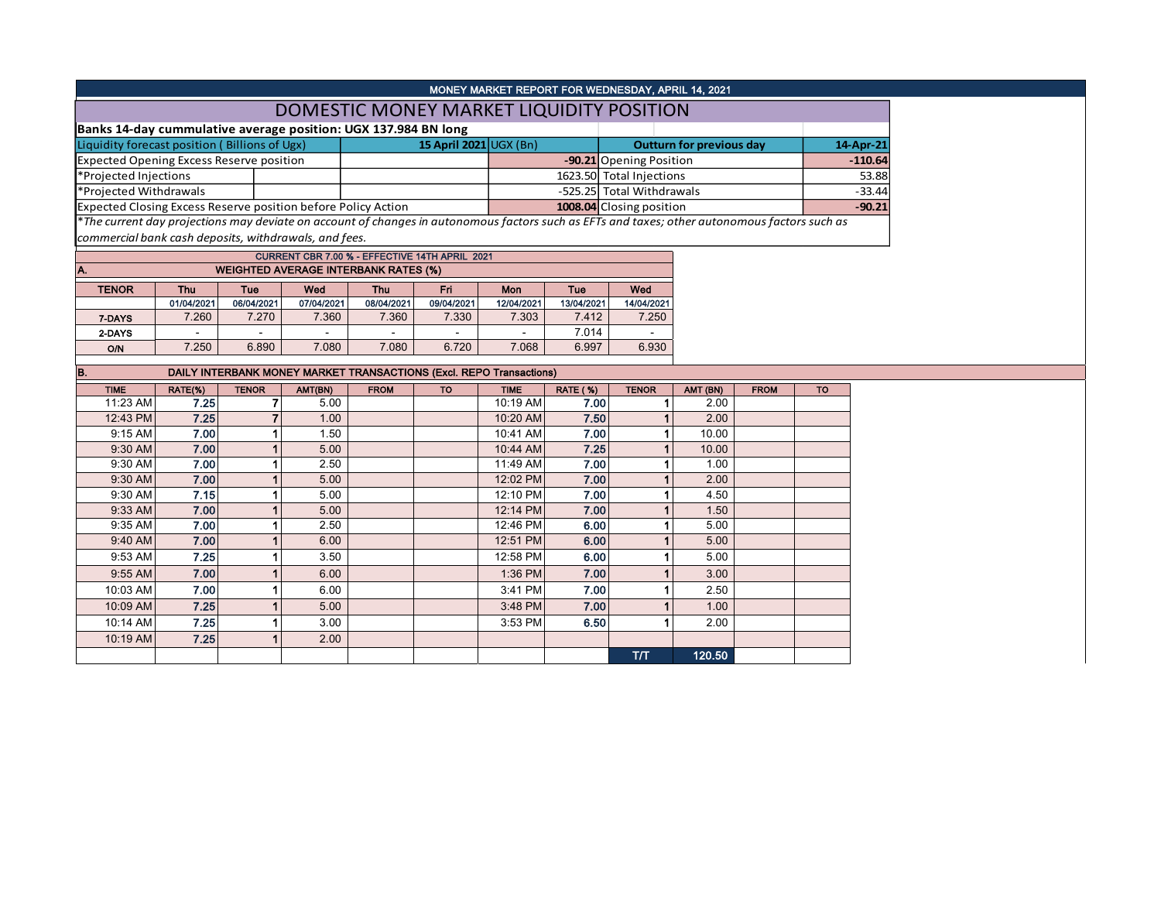|                                                                                                                                               |            |                |            |                                             |                                                |             |                 | MONEY MARKET REPORT FOR WEDNESDAY, APRIL 14, 2021 |          |             |           |           |
|-----------------------------------------------------------------------------------------------------------------------------------------------|------------|----------------|------------|---------------------------------------------|------------------------------------------------|-------------|-----------------|---------------------------------------------------|----------|-------------|-----------|-----------|
|                                                                                                                                               |            |                |            |                                             | DOMESTIC MONEY MARKET LIQUIDITY POSITION       |             |                 |                                                   |          |             |           |           |
| Banks 14-day cummulative average position: UGX 137.984 BN long                                                                                |            |                |            |                                             |                                                |             |                 |                                                   |          |             |           |           |
| Liquidity forecast position (Billions of Ugx)                                                                                                 |            |                |            | 15 April 2021 $\cup$ GX (Bn)                |                                                |             |                 | <b>Outturn for previous day</b>                   |          |             |           | 14-Apr-21 |
| <b>Expected Opening Excess Reserve position</b>                                                                                               |            |                |            |                                             |                                                |             |                 | -90.21 Opening Position                           |          |             |           | $-110.64$ |
| *Projected Injections                                                                                                                         |            |                |            |                                             |                                                |             |                 | 1623.50 Total Injections                          |          |             |           | 53.88     |
| *Projected Withdrawals                                                                                                                        |            |                |            |                                             |                                                |             |                 | -525.25 Total Withdrawals                         |          | $-33.44$    |           |           |
| Expected Closing Excess Reserve position before Policy Action                                                                                 |            |                |            |                                             |                                                |             |                 | 1008.04 Closing position                          |          |             |           | $-90.21$  |
| *The current day projections may deviate on account of changes in autonomous factors such as EFTs and taxes; other autonomous factors such as |            |                |            |                                             |                                                |             |                 |                                                   |          |             |           |           |
| commercial bank cash deposits, withdrawals, and fees.                                                                                         |            |                |            |                                             |                                                |             |                 |                                                   |          |             |           |           |
|                                                                                                                                               |            |                |            |                                             | CURRENT CBR 7.00 % - EFFECTIVE 14TH APRIL 2021 |             |                 |                                                   |          |             |           |           |
| A.                                                                                                                                            |            |                |            | <b>WEIGHTED AVERAGE INTERBANK RATES (%)</b> |                                                |             |                 |                                                   |          |             |           |           |
| <b>TENOR</b>                                                                                                                                  | Thu        | Tue            | Wed        | Thu                                         | Fri                                            | Mon         | Tue             | Wed                                               |          |             |           |           |
|                                                                                                                                               | 01/04/2021 | 06/04/2021     | 07/04/2021 | 08/04/2021                                  | 09/04/2021                                     | 12/04/2021  | 13/04/2021      | 14/04/2021                                        |          |             |           |           |
| 7-DAYS                                                                                                                                        | 7.260      | 7.270          | 7.360      | 7.360                                       | 7.330                                          | 7.303       | 7.412           | 7.250                                             |          |             |           |           |
| 2-DAYS                                                                                                                                        |            |                |            |                                             |                                                |             | 7.014           |                                                   |          |             |           |           |
| <b>O/N</b>                                                                                                                                    | 7.250      | 6.890          | 7.080      | 7.080                                       | 6.720                                          | 7.068       | 6.997           | 6.930                                             |          |             |           |           |
| B.<br><b>DAILY INTERBANK MONEY MARKET TRANSACTIONS (Excl. REPO Transactions)</b>                                                              |            |                |            |                                             |                                                |             |                 |                                                   |          |             |           |           |
|                                                                                                                                               |            |                |            |                                             |                                                |             |                 |                                                   |          |             |           |           |
| <b>TIME</b>                                                                                                                                   | RATE(%)    | <b>TENOR</b>   | AMT(BN)    | <b>FROM</b>                                 | TO                                             | <b>TIME</b> | <b>RATE (%)</b> | <b>TENOR</b>                                      | AMT (BN) | <b>FROM</b> | <b>TO</b> |           |
| 11:23 AM                                                                                                                                      | 7.25       | 7              | 5.00       |                                             |                                                | 10:19 AM    | 7.00            | 1 <sup>1</sup>                                    | 2.00     |             |           |           |
| 12:43 PM                                                                                                                                      | 7.25       | $\overline{7}$ | 1.00       |                                             |                                                | 10:20 AM    | 7.50            | 1 <sup>1</sup>                                    | 2.00     |             |           |           |
| $9:15$ AM                                                                                                                                     | 7.00       | 1 <sup>1</sup> | 1.50       |                                             |                                                | 10:41 AM    | 7.00            | 1 <sup>1</sup>                                    | 10.00    |             |           |           |
| 9:30 AM                                                                                                                                       | 7.00       | 1 <sup>1</sup> | 5.00       |                                             |                                                | 10:44 AM    | 7.25            | 1 <sup>1</sup>                                    | 10.00    |             |           |           |
| $9:30$ AM                                                                                                                                     | 7.00       | 1 <sup>1</sup> | 2.50       |                                             |                                                | 11:49 AM    | 7.00            | 1                                                 | 1.00     |             |           |           |
| $9:30$ AM                                                                                                                                     | 7.00       |                | 5.00       |                                             |                                                | 12:02 PM    | 7.00            |                                                   | 2.00     |             |           |           |
| $9:30$ AM                                                                                                                                     | 7.15       |                | 5.00       |                                             |                                                | 12:10 PM    | 7.00            |                                                   | 4.50     |             |           |           |
| $9:33$ AM                                                                                                                                     | 7.00       | 1 <sup>1</sup> | 5.00       |                                             |                                                | 12:14 PM    | 7.00            | 1                                                 | 1.50     |             |           |           |
| $9:35$ AM                                                                                                                                     | 7.00       | $\mathbf{1}$   | 2.50       |                                             |                                                | 12:46 PM    | 6.00            | $\mathbf{1}$                                      | 5.00     |             |           |           |
| 9:40 AM                                                                                                                                       | 7.00       | 1 <sup>1</sup> | 6.00       |                                             |                                                | 12:51 PM    | 6.00            | 1                                                 | 5.00     |             |           |           |
| $9:53$ AM                                                                                                                                     | 7.25       | 1              | 3.50       |                                             |                                                | 12:58 PM    | 6.00            | 1                                                 | 5.00     |             |           |           |
| $9:55$ AM                                                                                                                                     | 7.00       |                | 6.00       |                                             |                                                | 1:36 PM     | 7.00            | $\mathbf{1}$                                      | 3.00     |             |           |           |
| 10:03 AM                                                                                                                                      | 7.00       |                | 6.00       |                                             |                                                | 3:41 PM     | 7.00            | $\mathbf{1}$                                      | 2.50     |             |           |           |
| 10:09 AM                                                                                                                                      | 7.25       |                | 5.00       |                                             |                                                | 3:48 PM     | 7.00            | $\mathbf{1}$                                      | 1.00     |             |           |           |
| 10:14 AM                                                                                                                                      | 7.25       |                | 3.00       |                                             |                                                | 3:53 PM     | 6.50            | 1                                                 | 2.00     |             |           |           |
| 10:19 AM                                                                                                                                      | 7.25       |                | 2.00       |                                             |                                                |             |                 | <b>T/T</b>                                        | 120.50   |             |           |           |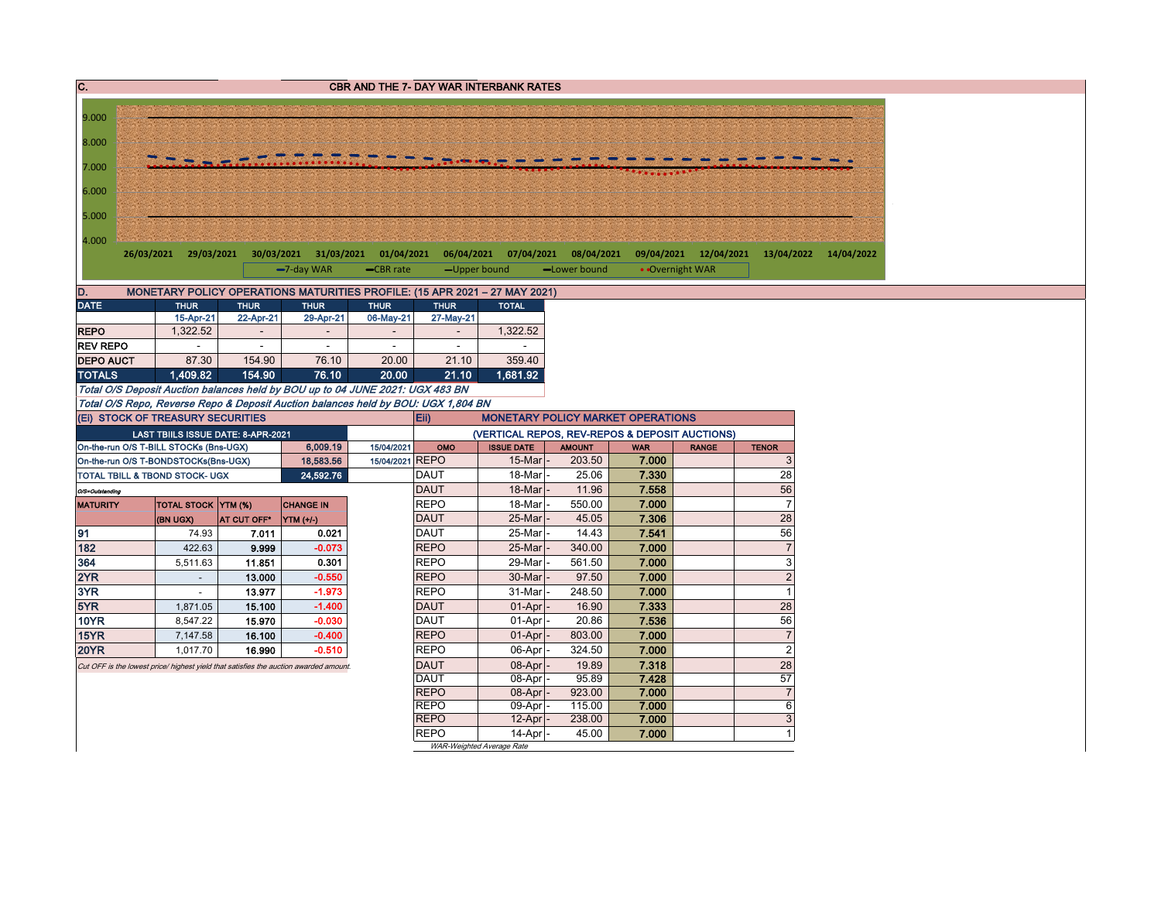| C.                |                                                                                                                        |                 |                   |                          |                            | <b>CBR AND THE 7- DAY WAR INTERBANK RATES</b>                                              |                  |                |                       |                           |                       |
|-------------------|------------------------------------------------------------------------------------------------------------------------|-----------------|-------------------|--------------------------|----------------------------|--------------------------------------------------------------------------------------------|------------------|----------------|-----------------------|---------------------------|-----------------------|
|                   |                                                                                                                        |                 |                   |                          |                            |                                                                                            |                  |                |                       |                           |                       |
| 9.000             |                                                                                                                        |                 |                   |                          |                            |                                                                                            |                  |                |                       |                           |                       |
| 8.000             |                                                                                                                        |                 |                   |                          |                            |                                                                                            |                  |                |                       |                           |                       |
| 7.000             |                                                                                                                        |                 |                   |                          |                            |                                                                                            |                  |                |                       |                           |                       |
|                   |                                                                                                                        |                 |                   |                          |                            |                                                                                            |                  |                |                       |                           |                       |
| 6.000             |                                                                                                                        |                 |                   |                          |                            |                                                                                            |                  |                |                       |                           |                       |
| 5.000             |                                                                                                                        |                 |                   |                          |                            |                                                                                            |                  |                |                       |                           |                       |
|                   |                                                                                                                        |                 |                   |                          |                            |                                                                                            |                  |                |                       |                           |                       |
| 4.000             | 26/03/2021 29/03/2021 30/03/2021 31/03/2021 01/04/2021 06/04/2021 07/04/2021 08/04/2021                                |                 |                   |                          |                            |                                                                                            |                  |                | 09/04/2021 12/04/2021 |                           | 13/04/2022 14/04/2022 |
|                   |                                                                                                                        |                 | -7-day WAR        | -CBR rate                | -Upper bound               |                                                                                            | -Lower bound     |                | • Overnight WAR       |                           |                       |
|                   |                                                                                                                        |                 |                   |                          |                            |                                                                                            |                  |                |                       |                           |                       |
| D.<br><b>DATE</b> | MONETARY POLICY OPERATIONS MATURITIES PROFILE: (15 APR 2021 - 27 MAY 2021)<br><b>THUR</b>                              | <b>THUR</b>     | <b>THUR</b>       | <b>THUR</b>              | <b>THUR</b>                | <b>TOTAL</b>                                                                               |                  |                |                       |                           |                       |
|                   | 15-Apr-21                                                                                                              | 22-Apr-21       | 29-Apr-21         | 06-May-21                | 27-May-21                  |                                                                                            |                  |                |                       |                           |                       |
| <b>REPO</b>       | 1,322.52                                                                                                               |                 |                   |                          |                            | 1,322.52                                                                                   |                  |                |                       |                           |                       |
| <b>REV REPO</b>   |                                                                                                                        | $\sim$          | $\sim$            | $\overline{\phantom{a}}$ | $\blacksquare$             |                                                                                            |                  |                |                       |                           |                       |
| <b>DEPO AUCT</b>  | 87.30                                                                                                                  | 154.90          | 76.10             | 20.00                    | 21.10                      | 359.40                                                                                     |                  |                |                       |                           |                       |
| <b>TOTALS</b>     | 1.409.82                                                                                                               | 154.90          | 76.10             | 20.00                    | 21.10                      | 1,681.92                                                                                   |                  |                |                       |                           |                       |
|                   | Total O/S Deposit Auction balances held by BOU up to 04 JUNE 2021: UGX 483 BN                                          |                 |                   |                          |                            |                                                                                            |                  |                |                       |                           |                       |
|                   | Total O/S Repo, Reverse Repo & Deposit Auction balances held by BOU: UGX 1,804 BN<br>(Ei) STOCK OF TREASURY SECURITIES |                 |                   |                          |                            |                                                                                            |                  |                |                       |                           |                       |
|                   | LAST TBIILS ISSUE DATE: 8-APR-2021                                                                                     |                 |                   |                          | Eii)                       | <b>MONETARY POLICY MARKET OPERATIONS</b><br>(VERTICAL REPOS, REV-REPOS & DEPOSIT AUCTIONS) |                  |                |                       |                           |                       |
|                   | On-the-run O/S T-BILL STOCKs (Bns-UGX)                                                                                 |                 | 6,009.19          | 15/04/2021               | OMO                        | <b>ISSUE DATE</b>                                                                          | <b>AMOUNT</b>    | <b>WAR</b>     | <b>RANGE</b>          | <b>TENOR</b>              |                       |
|                   | On-the-run O/S T-BONDSTOCKs(Bns-UGX)                                                                                   |                 | 18,583.56         | 15/04/2021 REPO          |                            | $15$ -Mar                                                                                  | 203.50           | 7.000          |                       | 3                         |                       |
|                   | TOTAL TBILL & TBOND STOCK- UGX                                                                                         |                 | 24,592.76         |                          | <b>DAUT</b>                | 18-Mar                                                                                     | 25.06            | 7.330          |                       | 28                        |                       |
| O/S=Outstanding   |                                                                                                                        |                 |                   |                          | <b>DAUT</b>                | 18-Mar                                                                                     | 11.96            | 7.558          |                       | 56                        |                       |
| <b>MATURITY</b>   | TOTAL STOCK YTM (%)                                                                                                    |                 | <b>CHANGE IN</b>  |                          | <b>REPO</b>                | 18-Mar                                                                                     | 550.00           | 7.000          |                       | $\overline{7}$            |                       |
|                   | (BN UGX)                                                                                                               | AT CUT OFF*     | YTM (+/-)         |                          | <b>DAUT</b>                | 25-Mar                                                                                     | 45.05            | 7.306          |                       | 28                        |                       |
| 91                | 74.93                                                                                                                  | 7.011           | 0.021             |                          | <b>DAUT</b>                | 25-Mar                                                                                     | 14.43            | 7.541          |                       | 56                        |                       |
| 182<br>364        | 422.63<br>5,511.63                                                                                                     | 9.999<br>11.851 | $-0.073$<br>0.301 |                          | <b>REPO</b><br><b>REPO</b> | 25-Mar<br>29-Mar                                                                           | 340.00<br>561.50 | 7.000<br>7.000 |                       | $\overline{7}$<br>3       |                       |
| 2YR               | $\sim$                                                                                                                 | 13.000          | $-0.550$          |                          | <b>REPO</b>                | 30-Mar                                                                                     | 97.50            | 7.000          |                       | $\overline{c}$            |                       |
| 3YR               | $\sim$                                                                                                                 | 13.977          | $-1.973$          |                          | <b>REPO</b>                | 31-Mar                                                                                     | 248.50           | 7.000          |                       | $\overline{1}$            |                       |
| 5YR               | 1,871.05                                                                                                               | 15.100          | $-1.400$          |                          | <b>DAUT</b>                | $01-Apr$                                                                                   | 16.90            | 7.333          |                       | 28                        |                       |
| 10YR              | 8,547.22                                                                                                               | 15.970          | $-0.030$          |                          | <b>DAUT</b>                | 01-Apr                                                                                     | 20.86            | 7.536          |                       | 56                        |                       |
| <b>15YR</b>       | 7,147.58                                                                                                               | 16.100          | $-0.400$          |                          | <b>REPO</b>                | 01-Apr                                                                                     | 803.00           | 7.000          |                       | $\overline{7}$            |                       |
| <b>20YR</b>       | 1,017.70                                                                                                               | 16.990          | $-0.510$          |                          | <b>REPO</b>                | 06-Apr                                                                                     | 324.50           | 7.000          |                       | $\overline{c}$            |                       |
|                   | Cut OFF is the lowest price/ highest yield that satisfies the auction awarded amount.                                  |                 |                   |                          | <b>DAUT</b>                | 08-Apr                                                                                     | 19.89            | 7.318          |                       | 28                        |                       |
|                   |                                                                                                                        |                 |                   |                          | <b>DAUT</b><br><b>REPO</b> | 08-Apr                                                                                     | 95.89            | 7.428          |                       | $\overline{57}$           |                       |
|                   |                                                                                                                        |                 |                   |                          | <b>REPO</b>                | 08-Apr<br>09-Apr                                                                           | 923.00<br>115.00 | 7.000<br>7.000 |                       | $\overline{7}$<br>$\,6\,$ |                       |
|                   |                                                                                                                        |                 |                   |                          | <b>REPO</b>                | 12-Apr                                                                                     | 238.00           | 7.000          |                       | $\mathsf 3$               |                       |
|                   |                                                                                                                        |                 |                   |                          | <b>REPO</b>                | 14-Apr                                                                                     | 45.00            | 7.000          |                       | $\overline{1}$            |                       |
|                   |                                                                                                                        |                 |                   |                          |                            | WAR-Weighted Average Rate                                                                  |                  |                |                       |                           |                       |